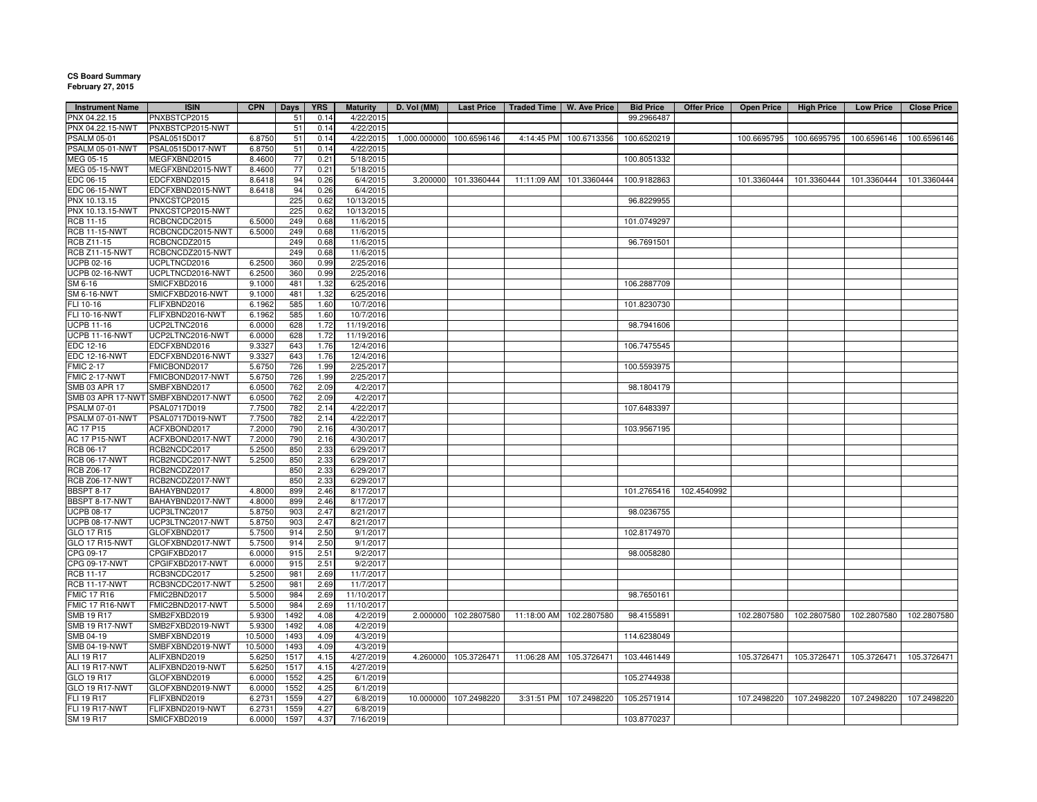## **CS Board Summary February 27, 2015**

| <b>Instrument Name</b> | <b>ISIN</b>                        | <b>CPN</b> | Days | <b>YRS</b> | <b>Maturity</b> | D. Vol (MM)  | <b>Last Price</b> | <b>Traded Time</b> | <b>W. Ave Price</b>     | <b>Bid Price</b> | <b>Offer Price</b> | <b>Open Price</b> | <b>High Price</b> | <b>Low Price</b> | <b>Close Price</b> |
|------------------------|------------------------------------|------------|------|------------|-----------------|--------------|-------------------|--------------------|-------------------------|------------------|--------------------|-------------------|-------------------|------------------|--------------------|
| PNX 04.22.15           | PNXBSTCP2015                       |            | 51   | 0.14       | 4/22/2015       |              |                   |                    |                         | 99.2966487       |                    |                   |                   |                  |                    |
| PNX 04.22.15-NWT       | PNXBSTCP2015-NWT                   |            | 51   | 0.14       | 4/22/2015       |              |                   |                    |                         |                  |                    |                   |                   |                  |                    |
| <b>PSALM 05-01</b>     | PSAL0515D017                       | 6.8750     | 51   | 0.14       | 4/22/2015       | 1,000.000000 | 100.6596146       | 4:14:45 PM         | 100.6713356             | 100.6520219      |                    | 100.6695795       | 100.6695795       | 100.6596146      | 100.6596146        |
| SALM 05-01-NWT         | PSAL0515D017-NWT                   | 6.8750     | 51   | 0.14       | 4/22/2015       |              |                   |                    |                         |                  |                    |                   |                   |                  |                    |
| JEG 05-15              | MEGFXBND2015                       | 8.4600     | 77   | 0.21       | 5/18/2015       |              |                   |                    |                         | 100.8051332      |                    |                   |                   |                  |                    |
| <b>MEG 05-15-NWT</b>   | MEGFXBND2015-NWT                   | 8.4600     | 77   | 0.21       | 5/18/2015       |              |                   |                    |                         |                  |                    |                   |                   |                  |                    |
| EDC 06-15              | EDCFXBND2015                       | 8.6418     | 94   | 0.26       | 6/4/2015        | 3.200000     | 101.3360444       | 11:11:09 AM        | 101.3360444             | 100.9182863      |                    | 101.3360444       | 101.3360444       | 101.3360444      | 101.3360444        |
| EDC 06-15-NWT          | EDCFXBND2015-NWT                   | 8.6418     | 94   | 0.26       | 6/4/2015        |              |                   |                    |                         |                  |                    |                   |                   |                  |                    |
| PNX 10.13.15           | PNXCSTCP2015                       |            | 225  | 0.62       | 10/13/2015      |              |                   |                    |                         | 96.8229955       |                    |                   |                   |                  |                    |
| PNX 10.13.15-NWT       | PNXCSTCP2015-NWT                   |            | 225  | 0.62       | 10/13/2015      |              |                   |                    |                         |                  |                    |                   |                   |                  |                    |
| RCB 11-15              | RCBCNCDC2015                       | 6.5000     | 249  | 0.68       | 11/6/2015       |              |                   |                    |                         | 101.0749297      |                    |                   |                   |                  |                    |
| <b>RCB 11-15-NWT</b>   | RCBCNCDC2015-NWT                   | 6.5000     | 249  | 0.68       | 11/6/2015       |              |                   |                    |                         |                  |                    |                   |                   |                  |                    |
| <b>RCB Z11-15</b>      | RCBCNCDZ2015                       |            | 249  | 0.68       | 11/6/2015       |              |                   |                    |                         | 96.7691501       |                    |                   |                   |                  |                    |
| <b>RCB Z11-15-NWT</b>  | RCBCNCDZ2015-NWT                   |            | 249  | 0.68       | 11/6/2015       |              |                   |                    |                         |                  |                    |                   |                   |                  |                    |
| <b>UCPB 02-16</b>      | UCPLTNCD2016                       | 6.2500     | 360  | 0.99       | 2/25/2016       |              |                   |                    |                         |                  |                    |                   |                   |                  |                    |
| <b>UCPB 02-16-NWT</b>  | UCPLTNCD2016-NWT                   | 6.2500     | 360  | 0.99       | 2/25/2016       |              |                   |                    |                         |                  |                    |                   |                   |                  |                    |
| SM 6-16                | SMICFXBD2016                       | 9.1000     | 481  | 1.32       | 6/25/2016       |              |                   |                    |                         | 106.2887709      |                    |                   |                   |                  |                    |
| <b>SM 6-16-NWT</b>     | SMICFXBD2016-NWT                   | 9.1000     | 481  | 1.32       | 6/25/2016       |              |                   |                    |                         |                  |                    |                   |                   |                  |                    |
| FLI 10-16              | FLIFXBND2016                       | 6.1962     | 585  | 1.60       | 10/7/2016       |              |                   |                    |                         | 101.8230730      |                    |                   |                   |                  |                    |
|                        |                                    |            |      |            |                 |              |                   |                    |                         |                  |                    |                   |                   |                  |                    |
| <b>FLI 10-16-NWT</b>   | FLIFXBND2016-NWT                   | 6.1962     | 585  | 1.60       | 10/7/2016       |              |                   |                    |                         |                  |                    |                   |                   |                  |                    |
| <b>UCPB 11-16</b>      | UCP2LTNC2016                       | 6.0000     | 628  | 1.72       | 11/19/2016      |              |                   |                    |                         | 98.7941606       |                    |                   |                   |                  |                    |
| <b>UCPB 11-16-NWT</b>  | UCP2LTNC2016-NWT                   | 6.0000     | 628  | 1.72       | 11/19/2016      |              |                   |                    |                         |                  |                    |                   |                   |                  |                    |
| EDC 12-16              | EDCFXBND2016                       | 9.332      | 643  | 1.76       | 12/4/2016       |              |                   |                    |                         | 106.7475545      |                    |                   |                   |                  |                    |
| <b>EDC 12-16-NWT</b>   | EDCFXBND2016-NWT                   | 9.332      | 643  | 1.76       | 12/4/2016       |              |                   |                    |                         |                  |                    |                   |                   |                  |                    |
| <b>FMIC 2-17</b>       | FMICBOND2017                       | 5.6750     | 726  | 1.99       | 2/25/2017       |              |                   |                    |                         | 100.5593975      |                    |                   |                   |                  |                    |
| <b>FMIC 2-17-NWT</b>   | FMICBOND2017-NWT                   | 5.6750     | 726  | 1.99       | 2/25/2017       |              |                   |                    |                         |                  |                    |                   |                   |                  |                    |
| SMB 03 APR 17          | SMBFXBND2017                       | 6.0500     | 762  | 2.09       | 4/2/2017        |              |                   |                    |                         | 98.1804179       |                    |                   |                   |                  |                    |
|                        | SMB 03 APR 17-NWT SMBFXBND2017-NWT | 6.0500     | 762  | 2.09       | 4/2/2017        |              |                   |                    |                         |                  |                    |                   |                   |                  |                    |
| <b>PSALM 07-01</b>     | PSAL0717D019                       | 7.7500     | 782  | 2.14       | 4/22/2017       |              |                   |                    |                         | 107.6483397      |                    |                   |                   |                  |                    |
| <b>PSALM 07-01-NWT</b> | PSAL0717D019-NWT                   | 7.7500     | 782  | 2.14       | 4/22/2017       |              |                   |                    |                         |                  |                    |                   |                   |                  |                    |
| AC 17 P15              | ACFXBOND2017                       | 7.2000     | 790  | 2.16       | 4/30/2017       |              |                   |                    |                         | 103.9567195      |                    |                   |                   |                  |                    |
| <b>AC 17 P15-NWT</b>   | ACFXBOND2017-NWT                   | 7.2000     | 790  | 2.16       | 4/30/2017       |              |                   |                    |                         |                  |                    |                   |                   |                  |                    |
| RCB 06-17              | RCB2NCDC2017                       | 5.2500     | 850  | 2.33       | 6/29/2017       |              |                   |                    |                         |                  |                    |                   |                   |                  |                    |
| <b>RCB 06-17-NWT</b>   | RCB2NCDC2017-NWT                   | 5.2500     | 850  | 2.33       | 6/29/2017       |              |                   |                    |                         |                  |                    |                   |                   |                  |                    |
| <b>RCB Z06-17</b>      | RCB2NCDZ2017                       |            | 850  | 2.33       | 6/29/2017       |              |                   |                    |                         |                  |                    |                   |                   |                  |                    |
| <b>RCB Z06-17-NWT</b>  | RCB2NCDZ2017-NWT                   |            | 850  | 2.33       | 6/29/2017       |              |                   |                    |                         |                  |                    |                   |                   |                  |                    |
| <b>BBSPT 8-17</b>      | BAHAYBND2017                       | 4.8000     | 899  | 2.46       | 8/17/2017       |              |                   |                    |                         | 101.2765416      | 102.4540992        |                   |                   |                  |                    |
| $BBSPT 8-17-NWT$       | BAHAYBND2017-NWT                   | 4.8000     | 899  | 2.46       | 8/17/2017       |              |                   |                    |                         |                  |                    |                   |                   |                  |                    |
| <b>UCPB 08-17</b>      | UCP3LTNC2017                       | 5.8750     | 903  | 2.47       | 8/21/2017       |              |                   |                    |                         | 98.0236755       |                    |                   |                   |                  |                    |
| JCPB 08-17-NWT         | UCP3LTNC2017-NWT                   | 5.8750     | 903  | 2.47       | 8/21/2017       |              |                   |                    |                         |                  |                    |                   |                   |                  |                    |
| GLO 17 R15             | GLOFXBND2017                       | 5.7500     | 914  | 2.50       | 9/1/2017        |              |                   |                    |                         | 102.8174970      |                    |                   |                   |                  |                    |
| GLO 17 R15-NWT         | GLOFXBND2017-NWT                   | 5.7500     | 914  | 2.50       | 9/1/2017        |              |                   |                    |                         |                  |                    |                   |                   |                  |                    |
| CPG 09-17              | CPGIFXBD2017                       | 6.0000     | 915  | 2.51       | 9/2/2017        |              |                   |                    |                         | 98.0058280       |                    |                   |                   |                  |                    |
| CPG 09-17-NWT          | CPGIFXBD2017-NWT                   | 6.0000     | 915  | 2.51       | 9/2/2017        |              |                   |                    |                         |                  |                    |                   |                   |                  |                    |
| <b>RCB 11-17</b>       | RCB3NCDC2017                       | 5.2500     | 981  | 2.69       | 11/7/2017       |              |                   |                    |                         |                  |                    |                   |                   |                  |                    |
| <b>RCB 11-17-NWT</b>   | RCB3NCDC2017-NWT                   | 5.2500     | 981  | 2.69       | 11/7/2017       |              |                   |                    |                         |                  |                    |                   |                   |                  |                    |
| <b>FMIC 17 R16</b>     | FMIC2BND2017                       | 5.5000     | 984  | 2.69       | 11/10/2017      |              |                   |                    |                         | 98.7650161       |                    |                   |                   |                  |                    |
| <b>FMIC 17 R16-NWT</b> | FMIC2BND2017-NWT                   | 5.5000     | 984  | 2.69       | 11/10/2017      |              |                   |                    |                         |                  |                    |                   |                   |                  |                    |
| <b>SMB 19 R17</b>      | SMB2FXBD2019                       | 5.9300     | 1492 | 4.08       | 4/2/2019        | 2.000000     | 102.2807580       |                    | 11:18:00 AM 102.2807580 | 98.4155891       |                    | 102.2807580       | 102.2807580       | 102.2807580      | 102.2807580        |
|                        |                                    |            |      |            |                 |              |                   |                    |                         |                  |                    |                   |                   |                  |                    |
| <b>SMB 19 R17-NWT</b>  | SMB2FXBD2019-NWT                   | 5.9300     | 1492 | 4.08       | 4/2/2019        |              |                   |                    |                         |                  |                    |                   |                   |                  |                    |
| SMB 04-19              | SMBFXBND2019                       | 10.5000    | 1493 | 4.09       | 4/3/2019        |              |                   |                    |                         | 114.6238049      |                    |                   |                   |                  |                    |
| SMB 04-19-NWT          | SMBFXBND2019-NWT                   | 10.5000    | 1493 | 4.09       | 4/3/2019        |              |                   |                    |                         |                  |                    |                   |                   |                  |                    |
| ALI 19 R17             | ALIFXBND2019                       | 5.6250     | 1517 | 4.15       | 4/27/2019       | 4.260000     | 105.3726471       | 11:06:28 AM        | 105.3726471             | 103.4461449      |                    | 105.3726471       | 105.3726471       | 105.3726471      | 105.3726471        |
| ALI 19 R17-NWT         | ALIFXBND2019-NWT                   | 5.6250     | 1517 | 4.15       | 4/27/2019       |              |                   |                    |                         |                  |                    |                   |                   |                  |                    |
| GLO 19 R17             | GLOFXBND2019                       | 6.0000     | 1552 | 4.25       | 6/1/2019        |              |                   |                    |                         | 105.2744938      |                    |                   |                   |                  |                    |
| GLO 19 R17-NWT         | GLOFXBND2019-NWT                   | 6.0000     | 1552 | 4.25       | 6/1/2019        |              |                   |                    |                         |                  |                    |                   |                   |                  |                    |
| FLI 19 R17             | FLIFXBND2019                       | 6.2731     | 1559 | 4.27       | 6/8/2019        | 10.000000    | 107.2498220       |                    | 3:31:51 PM 107.2498220  | 105.2571914      |                    | 107.2498220       | 107.2498220       | 107.2498220      | 107.2498220        |
| FLI 19 R17-NWT         | FLIFXBND2019-NWT                   | 6.2731     | 1559 | 4.27       | 6/8/2019        |              |                   |                    |                         |                  |                    |                   |                   |                  |                    |
| SM 19 R17              | SMICFXBD2019                       | 6.0000     | 1597 | 4.37       | 7/16/2019       |              |                   |                    |                         | 103.8770237      |                    |                   |                   |                  |                    |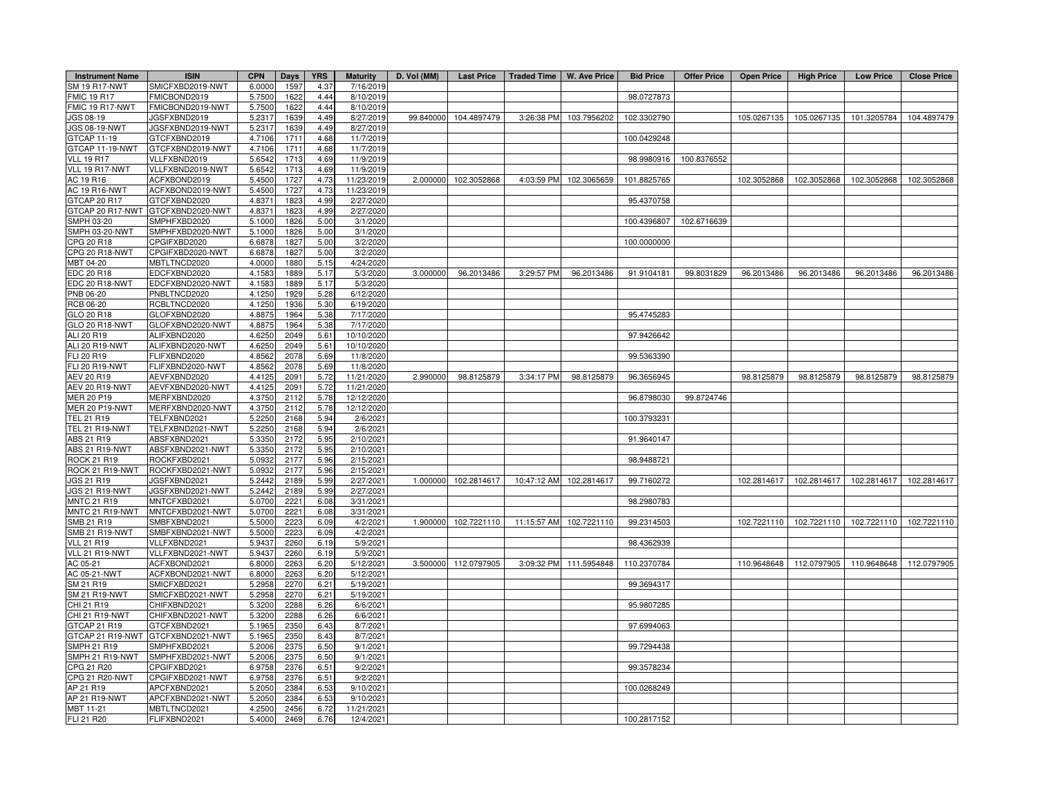| <b>Instrument Name</b>   | <b>ISIN</b>                       | <b>CPN</b>       | Days         | <b>YRS</b>   | <b>Maturity</b>        | D. Vol (MM) |             | Last Price   Traded Time   W. Ave Price |                         | <b>Bid Price</b> | Offer Price | <b>Open Price</b> | <b>High Price</b> | <b>Low Price</b> | <b>Close Price</b> |
|--------------------------|-----------------------------------|------------------|--------------|--------------|------------------------|-------------|-------------|-----------------------------------------|-------------------------|------------------|-------------|-------------------|-------------------|------------------|--------------------|
| SM 19 R17-NWT            | SMICFXBD2019-NWT                  | 6.0000           | 1597         | 4.37         | 7/16/2019              |             |             |                                         |                         |                  |             |                   |                   |                  |                    |
| <b>FMIC 19 R17</b>       | FMICBOND2019                      | 5.7500           | 1622         | 4.44         | 8/10/2019              |             |             |                                         |                         | 98.0727873       |             |                   |                   |                  |                    |
| FMIC 19 R17-NWT          | FMICBOND2019-NWT                  | 5.7500           | 1622         | 4.44         | 8/10/2019              |             |             |                                         |                         |                  |             |                   |                   |                  |                    |
| IGS 08-19                | JGSFXBND2019                      | 5.2317           | 1639         | 4.49         | 8/27/2019              | 99.840000   | 104.4897479 | 3:26:38 PM                              | 103.7956202             | 102.3302790      |             | 105.0267135       | 105.0267135       | 101.3205784      | 104.4897479        |
| <b>JGS 08-19-NWT</b>     | JGSFXBND2019-NWT                  | 5.2317           | 1639         | 4.49         | 8/27/2019              |             |             |                                         |                         |                  |             |                   |                   |                  |                    |
| GTCAP 11-19              | GTCFXBND2019                      | 4.7106           | 1711         | 4.68         | 11/7/2019              |             |             |                                         |                         | 100.0429248      |             |                   |                   |                  |                    |
| GTCAP 11-19-NWT          | GTCFXBND2019-NWT                  | 4.7106           | 1711         | 4.68         | 11/7/2019              |             |             |                                         |                         |                  |             |                   |                   |                  |                    |
| <b>VLL 19 R17</b>        | VLLFXBND2019                      | 5.6542           | 1713         | 4.69         | 11/9/2019              |             |             |                                         |                         | 98.9980916       | 100.8376552 |                   |                   |                  |                    |
| VLL 19 R17-NWT           | VLLFXBND2019-NWT                  | 5.654            | 1713         | 4.69         | 11/9/2019              |             |             |                                         |                         |                  |             |                   |                   |                  |                    |
| AC 19 R16                | ACFXBOND2019                      | 5.4500           | 1727         | 4.73         | 11/23/2019             | 2.000000    | 102.3052868 |                                         | 4:03:59 PM 102.3065659  | 101.8825765      |             | 102.3052868       | 102.3052868       | 102.3052868      | 102.3052868        |
| AC 19 R16-NWT            | ACFXBOND2019-NWT                  | 5.4500           | 1727         | 4.73         | 11/23/2019             |             |             |                                         |                         |                  |             |                   |                   |                  |                    |
| GTCAP 20 R17             | GTCFXBND2020                      | 4.837            | 1823         | 4.99         | 2/27/2020              |             |             |                                         |                         | 95.4370758       |             |                   |                   |                  |                    |
|                          | GTCAP 20 R17-NWT GTCFXBND2020-NWT | 4.8371           | 1823         | 4.99         | 2/27/2020              |             |             |                                         |                         |                  |             |                   |                   |                  |                    |
| SMPH 03-20               | SMPHFXBD2020                      | 5.1000           | 1826         | 5.00         | 3/1/2020               |             |             |                                         |                         | 100.4396807      | 102.6716639 |                   |                   |                  |                    |
| SMPH 03-20-NWT           | SMPHFXBD2020-NWT                  | 5.1000           | 1826         | 5.00         | 3/1/2020               |             |             |                                         |                         |                  |             |                   |                   |                  |                    |
| CPG 20 R18               | CPGIFXBD2020                      | 6.6878           | 1827         | 5.00         | 3/2/2020               |             |             |                                         |                         | 100.0000000      |             |                   |                   |                  |                    |
| CPG 20 R18-NWT           | CPGIFXBD2020-NWT                  | 6.687            | 1827         | 5.00         | 3/2/2020               |             |             |                                         |                         |                  |             |                   |                   |                  |                    |
| MBT 04-20                | MBTLTNCD2020                      | 4.0000           | 1880         | 5.15         | 4/24/2020              |             |             |                                         |                         |                  |             |                   |                   |                  |                    |
| EDC 20 R18               | EDCFXBND2020                      | 4.1583           | 1889         | 5.17         | 5/3/2020               | 3.000000    | 96.2013486  | 3:29:57 PM                              | 96.2013486              | 91.9104181       | 99.8031829  | 96.2013486        | 96.2013486        | 96.2013486       | 96.2013486         |
| EDC 20 R18-NWT           | EDCFXBND2020-NWT                  | 4.1583           | 1889         | 5.17         | 5/3/2020               |             |             |                                         |                         |                  |             |                   |                   |                  |                    |
| PNB 06-20                | PNBLTNCD2020                      | 4.1250           | 1929         | 5.28         | 6/12/2020              |             |             |                                         |                         |                  |             |                   |                   |                  |                    |
| RCB 06-20                | RCBLTNCD2020                      | 4.1250           | 1936         | 5.30         | 6/19/2020              |             |             |                                         |                         |                  |             |                   |                   |                  |                    |
| GLO 20 R18               | GLOFXBND2020                      | 4.8875           | 1964         | 5.38         | 7/17/2020              |             |             |                                         |                         | 95.4745283       |             |                   |                   |                  |                    |
| GLO 20 R18-NWT           | GLOFXBND2020-NWT                  | 4.8875           | 1964         | 5.38         | 7/17/2020              |             |             |                                         |                         |                  |             |                   |                   |                  |                    |
| ALI 20 R19               | ALIFXBND2020                      | 4.6250           | 2049         | 5.61         | 10/10/2020             |             |             |                                         |                         | 97.9426642       |             |                   |                   |                  |                    |
| ALI 20 R19-NWT           | ALIFXBND2020-NWT                  | 4.6250           | 2049         | 5.61         | 10/10/2020             |             |             |                                         |                         |                  |             |                   |                   |                  |                    |
| FLI 20 R19               | FLIFXBND2020                      | 4.8562           | 2078         | 5.69         | 11/8/2020              |             |             |                                         |                         | 99.5363390       |             |                   |                   |                  |                    |
| <b>FLI 20 R19-NWT</b>    | FLIFXBND2020-NWT                  | 4.856            | 2078         | 5.69         | 11/8/2020              |             |             |                                         |                         |                  |             |                   |                   |                  |                    |
| AEV 20 R19               | AEVFXBND2020                      | 4.4125           | 2091         | 5.72         | 11/21/2020             | 2.990000    | 98.8125879  | 3:34:17 PM                              | 98.8125879              | 96.3656945       |             | 98.8125879        | 98.8125879        | 98.8125879       | 98.8125879         |
| AEV 20 R19-NWT           | AEVFXBND2020-NWT                  | 4.4125           | 2091         | 5.72         | 11/21/2020             |             |             |                                         |                         |                  |             |                   |                   |                  |                    |
| <b>JER 20 P19</b>        | MERFXBND2020                      | 4.3750           | 2112         | 5.78         | 12/12/2020             |             |             |                                         |                         | 96.8798030       | 99.8724746  |                   |                   |                  |                    |
| <b>MER 20 P19-NWT</b>    | MERFXBND2020-NWT                  | 4.3750           | 2112         | 5.78         | 12/12/2020             |             |             |                                         |                         |                  |             |                   |                   |                  |                    |
| TEL 21 R19               | TELFXBND2021                      | 5.2250           | 2168         | 5.94         | 2/6/2021               |             |             |                                         |                         | 100.3793231      |             |                   |                   |                  |                    |
| <b>TEL 21 R19-NWT</b>    | TELFXBND2021-NWT                  | 5.2250           | 2168         | 5.94         | 2/6/2021               |             |             |                                         |                         |                  |             |                   |                   |                  |                    |
| ABS 21 R19               | ABSFXBND2021                      | 5.3350           | 2172         | 5.95         | 2/10/2021              |             |             |                                         |                         | 91.9640147       |             |                   |                   |                  |                    |
| ABS 21 R19-NWT           | ABSFXBND2021-NWT                  | 5.3350           | 2172         | 5.95         | 2/10/2021              |             |             |                                         |                         |                  |             |                   |                   |                  |                    |
| ROCK 21 R19              | ROCKFXBD2021                      | 5.0932           | 2177         | 5.96         | 2/15/2021              |             |             |                                         |                         | 98.9488721       |             |                   |                   |                  |                    |
| ROCK 21 R19-NWT          | ROCKFXBD2021-NWT                  | 5.0932           | 2177         | 5.96         | 2/15/2021              |             |             |                                         |                         |                  |             |                   |                   |                  |                    |
| <b>IGS 21 R19</b>        | JGSFXBND2021                      | 5.2442           | 2189         | 5.99         | 2/27/2021              | 1.000000    | 102.2814617 | 10:47:12 AM                             | 102.2814617             | 99.7160272       |             | 102.2814617       | 102.2814617       | 102.2814617      | 102.2814617        |
| JGS 21 R19-NWT           | JGSFXBND2021-NWT                  | 5.2442           | 2189         | 5.99         | 2/27/2021              |             |             |                                         |                         |                  |             |                   |                   |                  |                    |
| <b>MNTC 21 R19</b>       | MNTCFXBD2021                      | 5.0700           | 2221         | 6.08         | 3/31/2021              |             |             |                                         |                         | 98.2980783       |             |                   |                   |                  |                    |
| MNTC 21 R19-NWT          | MNTCFXBD2021-NWT                  | 5.0700           | 2221         | 6.08         | 3/31/2021              |             |             |                                         |                         |                  |             |                   |                   |                  |                    |
| SMB 21 R19               | SMBFXBND2021                      | 5.5000           | 2223         | 6.09         | 4/2/2021               | 1.900000    | 102.7221110 |                                         | 11:15:57 AM 102.7221110 | 99.2314503       |             | 102.7221110       | 102.7221110       | 102.7221110      | 102.7221110        |
| <b>SMB 21 R19-NWT</b>    |                                   |                  | 2223         |              |                        |             |             |                                         |                         |                  |             |                   |                   |                  |                    |
| <b>VLL 21 R19</b>        | SMBFXBND2021-NWT                  | 5.5000           |              | 6.09         | 4/2/2021               |             |             |                                         |                         |                  |             |                   |                   |                  |                    |
| VLL 21 R19-NWT           | VLLFXBND2021<br>VLLFXBND2021-NWT  | 5.9437<br>5.9437 | 2260<br>2260 | 6.19<br>6.19 | 5/9/2021<br>5/9/2021   |             |             |                                         |                         | 98.4362939       |             |                   |                   |                  |                    |
|                          |                                   |                  |              |              |                        |             |             |                                         |                         |                  |             |                   |                   |                  |                    |
| AC 05-21<br>AC 05-21-NWT | ACFXBOND2021<br>ACFXBOND2021-NWT  | 6.8000<br>6.8000 | 2263<br>2263 | 6.20<br>6.20 | 5/12/2021<br>5/12/2021 | 3.500000    | 112.0797905 |                                         | 3:09:32 PM 111.5954848  | 110.2370784      |             | 110.9648648       | 112.0797905       | 110.9648648      | 112.0797905        |
|                          |                                   |                  |              |              |                        |             |             |                                         |                         |                  |             |                   |                   |                  |                    |
| SM 21 R19                | SMICFXBD2021                      | 5.2958           | 2270<br>2270 | 6.21         | 5/19/2021              |             |             |                                         |                         | 99.3694317       |             |                   |                   |                  |                    |
| <b>SM 21 R19-NWT</b>     | SMICFXBD2021-NWT                  | 5.2958           |              | 6.21         | 5/19/2021              |             |             |                                         |                         |                  |             |                   |                   |                  |                    |
| CHI 21 R19               | CHIFXBND2021                      | 5.3200           | 2288         | 6.26         | 6/6/2021               |             |             |                                         |                         | 95.9807285       |             |                   |                   |                  |                    |
| CHI 21 R19-NWT           | CHIFXBND2021-NWT                  | 5.3200           | 2288         | 6.26         | 6/6/2021               |             |             |                                         |                         |                  |             |                   |                   |                  |                    |
| GTCAP 21 R19             | GTCFXBND2021                      | 5.1965           | 2350         | 6.43         | 8/7/2021               |             |             |                                         |                         | 97.6994063       |             |                   |                   |                  |                    |
|                          | GTCAP 21 R19-NWT GTCFXBND2021-NWT | 5.1965           | 2350         | 6.43         | 8/7/2021               |             |             |                                         |                         |                  |             |                   |                   |                  |                    |
| SMPH 21 R19              | SMPHFXBD2021                      | 5.2006           | 2375         | 6.50         | 9/1/2021               |             |             |                                         |                         | 99.7294438       |             |                   |                   |                  |                    |
| SMPH 21 R19-NWT          | SMPHFXBD2021-NWT                  | 5.2006           | 2375         | 6.50         | 9/1/2021               |             |             |                                         |                         |                  |             |                   |                   |                  |                    |
| CPG 21 R20               | CPGIFXBD2021                      | 6.9758           | 2376         | 6.51         | 9/2/2021               |             |             |                                         |                         | 99.3578234       |             |                   |                   |                  |                    |
| <b>PG 21 R20-NWT</b>     | CPGIFXBD2021-NWT                  | 6.9758           | 2376         | 6.51         | 9/2/2021               |             |             |                                         |                         |                  |             |                   |                   |                  |                    |
| AP 21 R19                | APCFXBND2021                      | 5.2050           | 2384         | 6.53         | 9/10/2021              |             |             |                                         |                         | 100.0268249      |             |                   |                   |                  |                    |
| AP 21 R19-NWT            | APCFXBND2021-NWT                  | 5.2050           | 2384         | 6.53         | 9/10/2021              |             |             |                                         |                         |                  |             |                   |                   |                  |                    |
| MBT 11-21                | MBTLTNCD2021                      | 4.2500           | 2456         | 6.72         | 11/21/2021             |             |             |                                         |                         |                  |             |                   |                   |                  |                    |
| FLI 21 R20               | FLIFXBND2021                      | 5.4000           | 2469         | 6.76         | 12/4/2021              |             |             |                                         |                         | 100.2817152      |             |                   |                   |                  |                    |